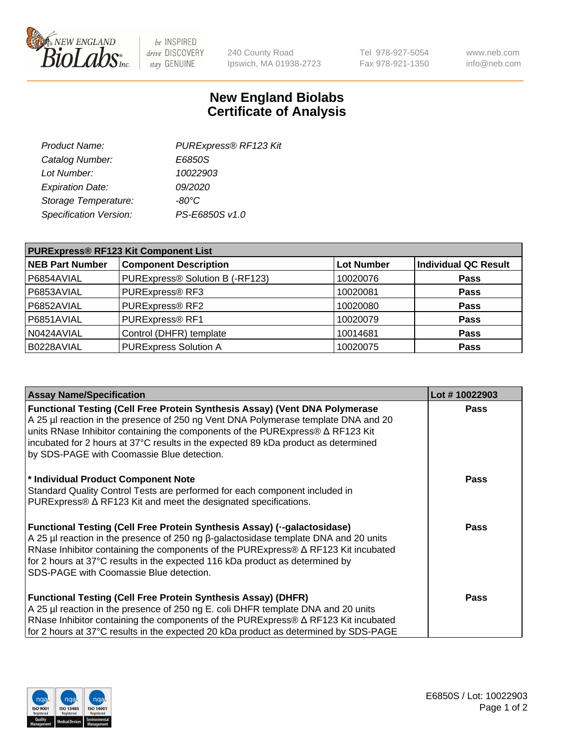

 $be$  INSPIRED drive DISCOVERY stay GENUINE

240 County Road Ipswich, MA 01938-2723 Tel 978-927-5054 Fax 978-921-1350 www.neb.com info@neb.com

## **New England Biolabs Certificate of Analysis**

| Product Name:           | PURExpress® RF123 Kit |
|-------------------------|-----------------------|
| Catalog Number:         | E6850S                |
| Lot Number:             | 10022903              |
| <b>Expiration Date:</b> | 09/2020               |
| Storage Temperature:    | $-80^{\circ}$ C       |
| Specification Version:  | PS-E6850S v1.0        |
|                         |                       |

| <b>PURExpress® RF123 Kit Component List</b> |                                 |                   |                             |  |
|---------------------------------------------|---------------------------------|-------------------|-----------------------------|--|
| <b>NEB Part Number</b>                      | <b>Component Description</b>    | <b>Lot Number</b> | <b>Individual QC Result</b> |  |
| P6854AVIAL                                  | PURExpress® Solution B (-RF123) | 10020076          | <b>Pass</b>                 |  |
| P6853AVIAL                                  | PURExpress® RF3                 | 10020081          | <b>Pass</b>                 |  |
| P6852AVIAL                                  | PURExpress® RF2                 | 10020080          | <b>Pass</b>                 |  |
| P6851AVIAL                                  | PURExpress® RF1                 | 10020079          | <b>Pass</b>                 |  |
| N0424AVIAL                                  | Control (DHFR) template         | 10014681          | <b>Pass</b>                 |  |
| B0228AVIAL                                  | <b>PURExpress Solution A</b>    | 10020075          | <b>Pass</b>                 |  |

| <b>Assay Name/Specification</b>                                                                                                                                                                                                                                                                                                                                                                | Lot #10022903 |
|------------------------------------------------------------------------------------------------------------------------------------------------------------------------------------------------------------------------------------------------------------------------------------------------------------------------------------------------------------------------------------------------|---------------|
| <b>Functional Testing (Cell Free Protein Synthesis Assay) (Vent DNA Polymerase</b><br>A 25 µl reaction in the presence of 250 ng Vent DNA Polymerase template DNA and 20<br>units RNase Inhibitor containing the components of the PURExpress® ∆ RF123 Kit<br>incubated for 2 hours at 37°C results in the expected 89 kDa product as determined<br>by SDS-PAGE with Coomassie Blue detection. | <b>Pass</b>   |
| * Individual Product Component Note<br>Standard Quality Control Tests are performed for each component included in<br>PURExpress® $\Delta$ RF123 Kit and meet the designated specifications.                                                                                                                                                                                                   | <b>Pass</b>   |
| Functional Testing (Cell Free Protein Synthesis Assay) (--galactosidase)<br>A 25 µl reaction in the presence of 250 ng β-galactosidase template DNA and 20 units<br>RNase Inhibitor containing the components of the PURExpress® $\Delta$ RF123 Kit incubated<br>for 2 hours at 37°C results in the expected 116 kDa product as determined by<br>SDS-PAGE with Coomassie Blue detection.       | Pass          |
| <b>Functional Testing (Cell Free Protein Synthesis Assay) (DHFR)</b><br>A 25 µl reaction in the presence of 250 ng E. coli DHFR template DNA and 20 units<br>RNase Inhibitor containing the components of the PURExpress® $\Delta$ RF123 Kit incubated<br>for 2 hours at 37°C results in the expected 20 kDa product as determined by SDS-PAGE                                                 | Pass          |